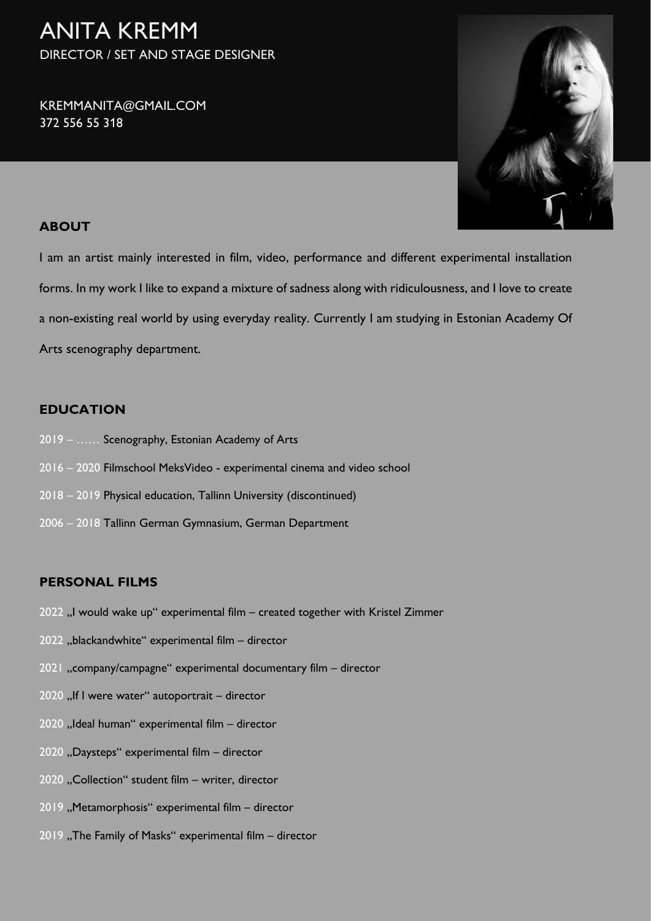# ANITA KREMM

DIRECTOR / SET AND STAGE DESIGNER

KREMMANITA@GMAIL.COM 372 556 55 318



## **ABOUT**

I am an artist mainly interested in film, video, performance and different experimental installation forms. In my work I like to expand a mixture of sadness along with ridiculousness, and I love to create a non-existing real world by using everyday reality. Currently I am studying in Estonian Academy Of Arts scenography department.

## **EDUCATION**

- 2019 …… Scenography, Estonian Academy of Arts
- 2016 2020 Filmschool MeksVideo experimental cinema and video school
- 2018 2019 Physical education, Tallinn University (discontinued)
- 2006 2018 Tallinn German Gymnasium, German Department

## **PERSONAL FILMS**

- 2022 .I would wake up" experimental film created together with Kristel Zimmer
- 2022 "blackandwhite" experimental film director
- 2021 "company/campagne" experimental documentary film director
- 2020 ["If I were water" autoportrait](https://www.akremm.com/project-1) director
- 2020 ["Ideal human" experimental](https://vimeo.com/410094777) film director
- 2020 ["Daysteps" experimental](https://vimeo.com/422235405) film director
- 2020 "Collection" student film writer, director
- 2019 ["Metamorphosis" experimental](https://vimeo.com/345104171) film director
- 2019 ["The Family of Masks" experimental](https://vimeo.com/378366314) film director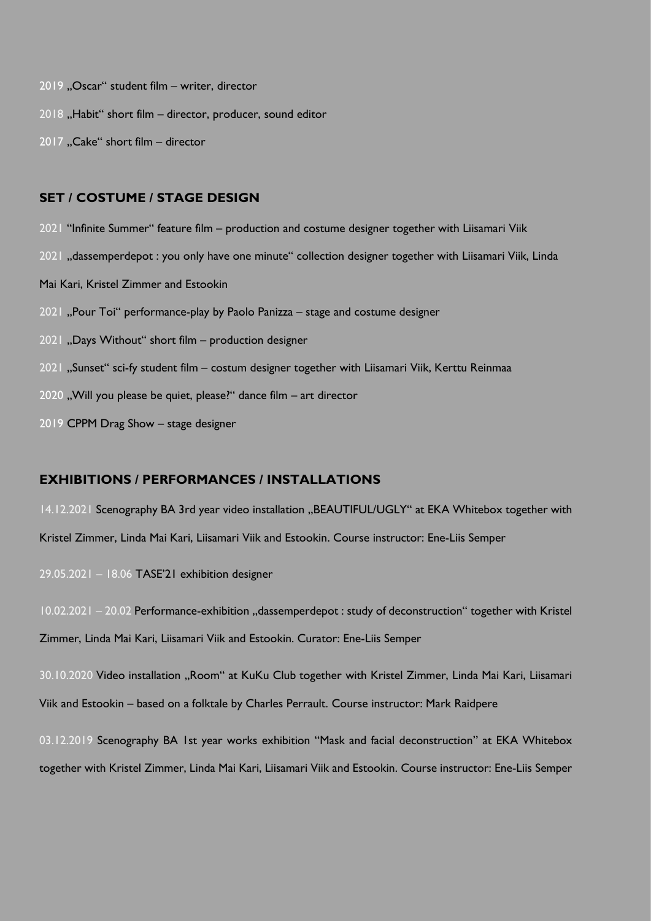- 2019 ["Oscar" student film –](https://vimeo.com/357183422) writer, director
- 2018 "Habit" short film [director, producer, sound editor](https://vimeo.com/273961549)
- 2017 "Cake" short film director

#### **SET / COSTUME / STAGE DESIGN**

- 2021 "Infinite Summer" feature film production and costume designer together with Liisamari Viik
- 2021 "dassemperdepot : you only have one minute" collection designer together with Liisamari Viik, Linda
- Mai Kari, Kristel Zimmer and Estookin
- 2021 "Pour Toi" performance-play by Paolo Panizza stage and costume designer
- 2021 "Days Without" short film production designer
- 2021 "Sunset" sci-fy student film costum designer together with Liisamari Viik, Kerttu Reinmaa
- 2020 "Will you please be quiet, please?" dance film art director
- 2019 [CPPM Drag Show](https://vimeo.com/387128007)  stage designer

#### **EXHIBITIONS / PERFORMANCES / INSTALLATIONS**

14.12.2021 Scenography BA 3rd year video installation "BEAUTIFUL/UGLY" at EKA Whitebox together with Kristel Zimmer, Linda Mai Kari, Liisamari Viik and Estookin. Course instructor: Ene-Liis Semper

29.05.2021 – 18.06 TASE'21 exhibition designer

10.02.2021 – 20.02 Performance-exhibition "dassemperdepot : study of deconstruction" together with Kristel Zimmer, Linda Mai Kari, Liisamari Viik and Estookin. Curator: Ene-Liis Semper

30.10.2020 Video installation "Room" at KuKu Club together with Kristel Zimmer, Linda Mai Kari, Liisamari Viik and Estookin – based on a folktale by Charles Perrault. Course instructor: Mark Raidpere

03.12.2019 Scenography BA 1st year works exhibition "Mask and facial deconstruction" at EKA Whitebox together with Kristel Zimmer, Linda Mai Kari, Liisamari Viik and Estookin. Course instructor: Ene-Liis Semper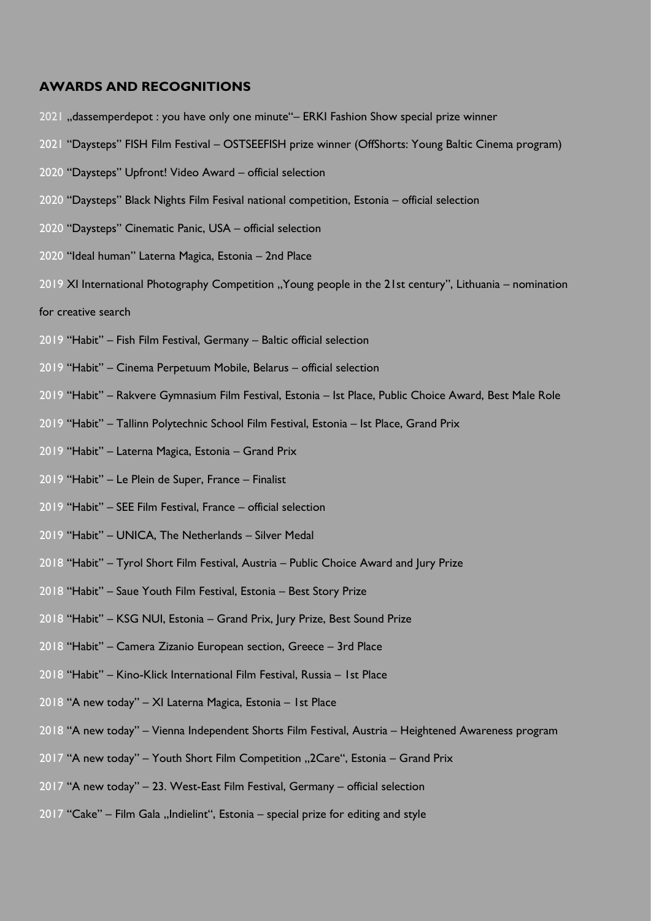#### **AWARDS AND RECOGNITIONS**

- "dassemperdepot : you have only one minute"– ERKI Fashion Show special prize winner
- "Daysteps" FISH Film Festival OSTSEEFISH prize winner (OffShorts: Young Baltic Cinema program)
- "Daysteps" Upfront! Video Award official selection
- "Daysteps" Black Nights Film Fesival national competition, Estonia official selection
- "Daysteps" Cinematic Panic, USA official selection
- "Ideal human" Laterna Magica, Estonia 2nd Place
- 2019 XI International Photography Competition "Young people in the 21st century", Lithuania nomination
- for creative search
- "Habit" Fish Film Festival, Germany Baltic official selection
- "Habit" Cinema Perpetuum Mobile, Belarus official selection
- "Habit" Rakvere Gymnasium Film Festival, Estonia Ist Place, Public Choice Award, Best Male Role
- "Habit" Tallinn Polytechnic School Film Festival, Estonia Ist Place, Grand Prix
- "Habit" Laterna Magica, Estonia Grand Prix
- "Habit" Le Plein de Super, France Finalist
- "Habit" SEE Film Festival, France official selection
- "Habit" UNICA, The Netherlands Silver Medal
- "Habit" Tyrol Short Film Festival, Austria Public Choice Award and Jury Prize
- "Habit" Saue Youth Film Festival, Estonia Best Story Prize
- "Habit" KSG NUI, Estonia Grand Prix, Jury Prize, Best Sound Prize
- "Habit" Camera Zizanio European section, Greece 3rd Place
- "Habit" Kino-Klick International Film Festival, Russia 1st Place
- "A new today" XI Laterna Magica, Estonia 1st Place
- "A new today" Vienna Independent Shorts Film Festival, Austria Heightened Awareness program
- 2017 "A new today" Youth Short Film Competition "2Care", Estonia Grand Prix
- "A new today" 23. West-East Film Festival, Germany official selection
- 2017 "Cake" Film Gala "Indielint", Estonia special prize for editing and style